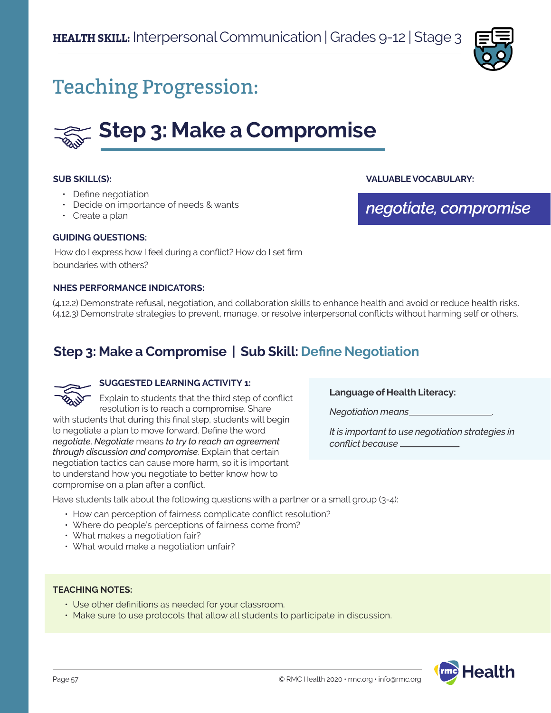

## Teaching Progression:

# **Step 3: Make a Compromise**

#### **SUB SKILL(S):**

- Define negotiation
- Decide on importance of needs & wants
- Create a plan

#### **GUIDING QUESTIONS:**

 How do I express how I feel during a conflict? How do I set firm boundaries with others?

#### **NHES PERFORMANCE INDICATORS:**

(4.12.2) Demonstrate refusal, negotiation, and collaboration skills to enhance health and avoid or reduce health risks. (4.12.3) Demonstrate strategies to prevent, manage, or resolve interpersonal conflicts without harming self or others.

## **Step 3: Make a Compromise | Sub Skill: Define Negotiation**



#### **SUGGESTED LEARNING ACTIVITY 1:**

Explain to students that the third step of conflict resolution is to reach a compromise. Share with students that during this final step, students will begin to negotiate a plan to move forward. Define the word *negotiate*. *Negotiate* means *to try to reach an agreement through discussion and compromise*. Explain that certain negotiation tactics can cause more harm, so it is important to understand how you negotiate to better know how to compromise on a plan after a conflict.

**Language of Health Literacy:**

*Negotiation means* .

*It is important to use negotiation strategies in conflict because* .

**VALUABLE VOCABULARY:**

*negotiate, compromise*

Have students talk about the following questions with a partner or a small group (3-4):

- How can perception of fairness complicate conflict resolution?
- Where do people's perceptions of fairness come from?
- What makes a negotiation fair?
- What would make a negotiation unfair?

#### **TEACHING NOTES:**

- Use other definitions as needed for your classroom.
- Make sure to use protocols that allow all students to participate in discussion.

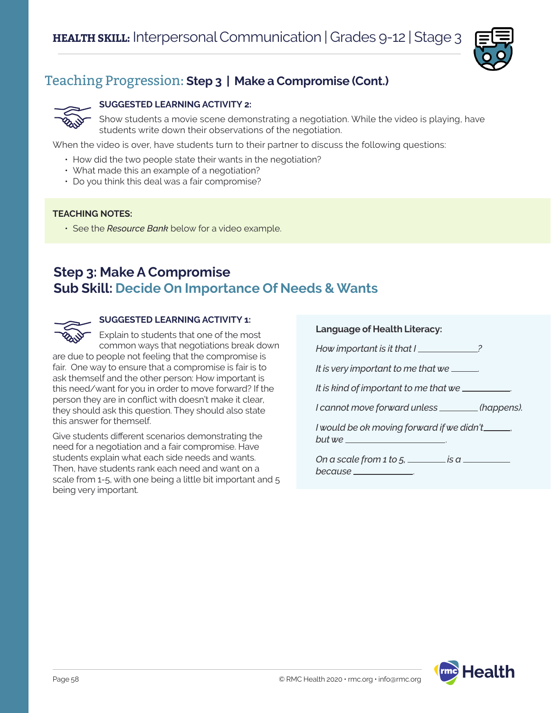

## Teaching Progression: **Step 3 | Make a Compromise (Cont.)**

#### **SUGGESTED LEARNING ACTIVITY 2:**

Show students a movie scene demonstrating a negotiation. While the video is playing, have students write down their observations of the negotiation.

When the video is over, have students turn to their partner to discuss the following questions:

- How did the two people state their wants in the negotiation?
- What made this an example of a negotiation?
- Do you think this deal was a fair compromise?

#### **TEACHING NOTES:**

• See the *Resource Bank* below for a video example.

### **Step 3: Make A Compromise Sub Skill: Decide On Importance Of Needs & Wants**



#### **SUGGESTED LEARNING ACTIVITY 1:**

Explain to students that one of the most common ways that negotiations break down

are due to people not feeling that the compromise is fair. One way to ensure that a compromise is fair is to ask themself and the other person: How important is this need/want for you in order to move forward? If the person they are in conflict with doesn't make it clear, they should ask this question. They should also state this answer for themself.

Give students different scenarios demonstrating the need for a negotiation and a fair compromise. Have students explain what each side needs and wants. Then, have students rank each need and want on a scale from 1-5, with one being a little bit important and 5 being very important.

| <b>Language of Health Literacy:</b>                                                 |  |
|-------------------------------------------------------------------------------------|--|
| How important is it that I                                                          |  |
| It is very important to me that we ______.                                          |  |
| It is kind of important to me that we ___________                                   |  |
| I cannot move forward unless ________(happens).                                     |  |
|                                                                                     |  |
| I would be ok moving forward if we didn't______,<br>but we ________________________ |  |